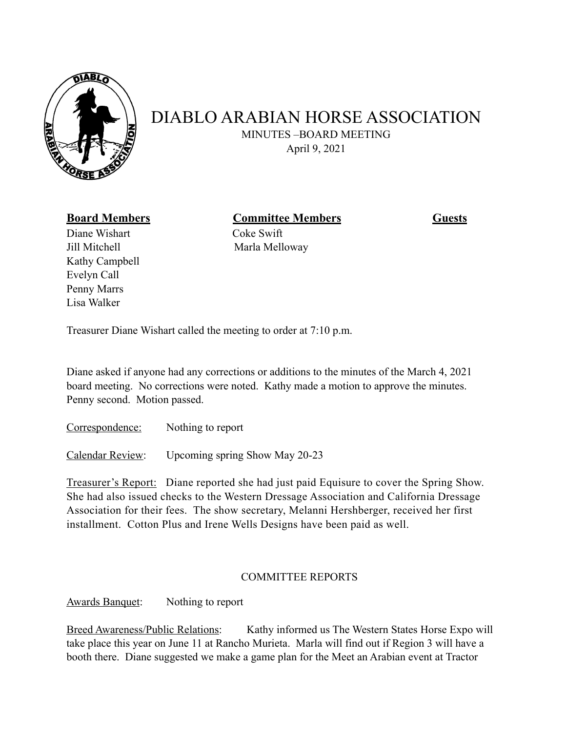

## DIABLO ARABIAN HORSE ASSOCIATION

 MINUTES –BOARD MEETING April 9, 2021

Diane Wishart **Coke Swift** Kathy Campbell Evelyn Call Penny Marrs Lisa Walker

**Board Members Committee Members Guests** Jill Mitchell Marla Melloway

Treasurer Diane Wishart called the meeting to order at 7:10 p.m.

Diane asked if anyone had any corrections or additions to the minutes of the March 4, 2021 board meeting. No corrections were noted. Kathy made a motion to approve the minutes. Penny second. Motion passed.

Correspondence: Nothing to report

Calendar Review: Upcoming spring Show May 20-23

Treasurer's Report: Diane reported she had just paid Equisure to cover the Spring Show. She had also issued checks to the Western Dressage Association and California Dressage Association for their fees. The show secretary, Melanni Hershberger, received her first installment. Cotton Plus and Irene Wells Designs have been paid as well.

## COMMITTEE REPORTS

Awards Banquet: Nothing to report

Breed Awareness/Public Relations: Kathy informed us The Western States Horse Expo will take place this year on June 11 at Rancho Murieta. Marla will find out if Region 3 will have a booth there. Diane suggested we make a game plan for the Meet an Arabian event at Tractor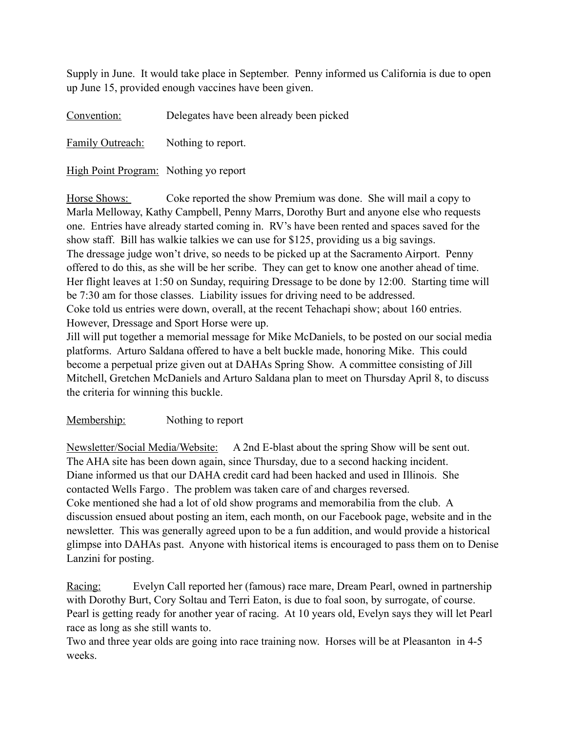Supply in June. It would take place in September. Penny informed us California is due to open up June 15, provided enough vaccines have been given.

| Convention:                           | Delegates have been already been picked |
|---------------------------------------|-----------------------------------------|
| <b>Family Outreach:</b>               | Nothing to report.                      |
| High Point Program: Nothing yo report |                                         |

Horse Shows: Coke reported the show Premium was done. She will mail a copy to Marla Melloway, Kathy Campbell, Penny Marrs, Dorothy Burt and anyone else who requests one. Entries have already started coming in. RV's have been rented and spaces saved for the show staff. Bill has walkie talkies we can use for \$125, providing us a big savings. The dressage judge won't drive, so needs to be picked up at the Sacramento Airport. Penny offered to do this, as she will be her scribe. They can get to know one another ahead of time. Her flight leaves at 1:50 on Sunday, requiring Dressage to be done by 12:00. Starting time will be 7:30 am for those classes. Liability issues for driving need to be addressed. Coke told us entries were down, overall, at the recent Tehachapi show; about 160 entries. However, Dressage and Sport Horse were up.

Jill will put together a memorial message for Mike McDaniels, to be posted on our social media platforms. Arturo Saldana offered to have a belt buckle made, honoring Mike. This could become a perpetual prize given out at DAHAs Spring Show. A committee consisting of Jill Mitchell, Gretchen McDaniels and Arturo Saldana plan to meet on Thursday April 8, to discuss the criteria for winning this buckle.

## Membership: Nothing to report

Newsletter/Social Media/Website: A 2nd E-blast about the spring Show will be sent out. The AHA site has been down again, since Thursday, due to a second hacking incident. Diane informed us that our DAHA credit card had been hacked and used in Illinois. She contacted Wells Fargo . The problem was taken care of and charges reversed. Coke mentioned she had a lot of old show programs and memorabilia from the club. A discussion ensued about posting an item, each month, on our Facebook page, website and in the newsletter. This was generally agreed upon to be a fun addition, and would provide a historical glimpse into DAHAs past. Anyone with historical items is encouraged to pass them on to Denise Lanzini for posting.

Racing: Evelyn Call reported her (famous) race mare, Dream Pearl, owned in partnership with Dorothy Burt, Cory Soltau and Terri Eaton, is due to foal soon, by surrogate, of course. Pearl is getting ready for another year of racing. At 10 years old, Evelyn says they will let Pearl race as long as she still wants to.

Two and three year olds are going into race training now. Horses will be at Pleasanton in 4-5 weeks.